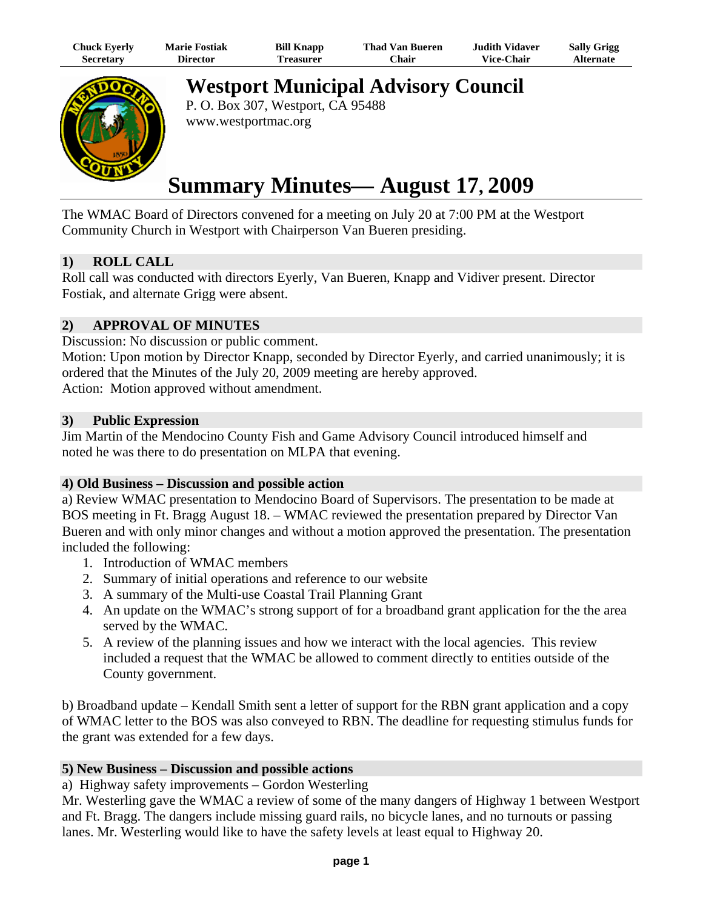| Chuck Eyerly | <b>Marie Fostiak</b> | <b>Bill Knapp</b> | <b>Thad Van Bueren</b> | <b>Judith Vidaver</b> | <b>Sally Grigg</b> |
|--------------|----------------------|-------------------|------------------------|-----------------------|--------------------|
| Secretary    | Director             | <b>Treasurer</b>  | <b>Chair</b>           | <b>Vice-Chair</b>     | <b>Alternate</b>   |



**Westport Municipal Advisory Council** 

P. O. Box 307, Westport, CA 95488 www.westportmac.org

# **Summary Minutes— August 17, 2009**

The WMAC Board of Directors convened for a meeting on July 20 at 7:00 PM at the Westport Community Church in Westport with Chairperson Van Bueren presiding.

## **1) ROLL CALL**

Roll call was conducted with directors Eyerly, Van Bueren, Knapp and Vidiver present. Director Fostiak, and alternate Grigg were absent.

# **2) APPROVAL OF MINUTES**

Discussion: No discussion or public comment.

Motion: Upon motion by Director Knapp, seconded by Director Eyerly, and carried unanimously; it is ordered that the Minutes of the July 20, 2009 meeting are hereby approved. Action: Motion approved without amendment.

## **3) Public Expression**

Jim Martin of the Mendocino County Fish and Game Advisory Council introduced himself and noted he was there to do presentation on MLPA that evening.

### **4) Old Business – Discussion and possible action**

a) Review WMAC presentation to Mendocino Board of Supervisors. The presentation to be made at BOS meeting in Ft. Bragg August 18. – WMAC reviewed the presentation prepared by Director Van Bueren and with only minor changes and without a motion approved the presentation. The presentation included the following:

- 1. Introduction of WMAC members
- 2. Summary of initial operations and reference to our website
- 3. A summary of the Multi-use Coastal Trail Planning Grant
- 4. An update on the WMAC's strong support of for a broadband grant application for the the area served by the WMAC.
- 5. A review of the planning issues and how we interact with the local agencies. This review included a request that the WMAC be allowed to comment directly to entities outside of the County government.

b) Broadband update – Kendall Smith sent a letter of support for the RBN grant application and a copy of WMAC letter to the BOS was also conveyed to RBN. The deadline for requesting stimulus funds for the grant was extended for a few days.

## **5) New Business – Discussion and possible actions**

a) Highway safety improvements – Gordon Westerling

Mr. Westerling gave the WMAC a review of some of the many dangers of Highway 1 between Westport and Ft. Bragg. The dangers include missing guard rails, no bicycle lanes, and no turnouts or passing lanes. Mr. Westerling would like to have the safety levels at least equal to Highway 20.